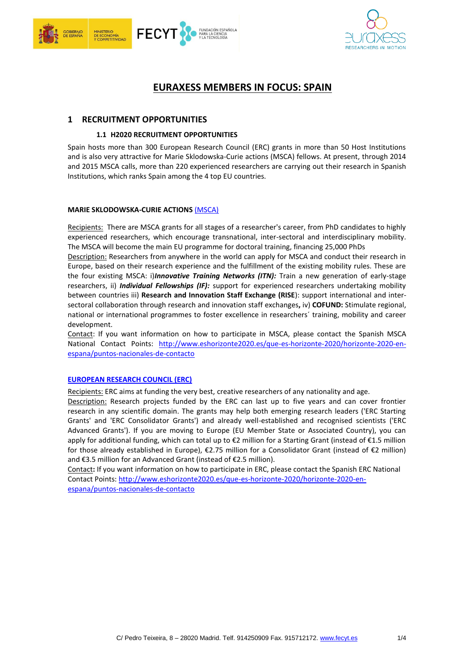



# **EURAXESS MEMBERS IN FOCUS: SPAIN**

## **1 RECRUITMENT OPPORTUNITIES**

## **1.1 H2020 RECRUITMENT OPPORTUNITIES**

Spain hosts more than 300 European Research Council (ERC) grants in more than 50 Host Institutions and is also very attractive for Marie Sklodowska-Curie actions (MSCA) fellows. At present, through 2014 and 2015 MSCA calls, more than 220 experienced researchers are carrying out their research in Spanish Institutions, which ranks Spain among the 4 top EU countries.

## **MARIE SKLODOWSKA-CURIE ACTIONS** [\(MSCA\)](http://ec.europa.eu/research/mariecurieactions/index_en.htm)

Recipients: There are MSCA grants for all stages of a researcher's career, from PhD candidates to highly experienced researchers, which encourage transnational, inter-sectoral and interdisciplinary mobility. The MSCA will become the main EU programme for doctoral training, financing 25,000 PhDs

Description: Researchers from anywhere in the world can apply for MSCA and conduct their research in Europe, based on their research experience and the fulfillment of the existing mobility rules. These are the four existing MSCA: i)*Innovative Training Networks (ITN):* Train a new generation of early-stage researchers, ii) *Individual Fellowships (IF):* support for experienced researchers undertaking mobility between countries iii) **Research and Innovation Staff Exchange (RISE**): support international and intersectoral collaboration through research and innovation staff exchanges**,** iv) **COFUND:** Stimulate regional, national or international programmes to foster excellence in researchers´ training, mobility and career development.

Contact: If you want information on how to participate in MSCA, please contact the Spanish MSCA National Contact Points: [http://www.eshorizonte2020.es/que-es-horizonte-2020/horizonte-2020-en](http://www.eshorizonte2020.es/que-es-horizonte-2020/horizonte-2020-en-espana/puntos-nacionales-de-contacto)[espana/puntos-nacionales-de-contacto](http://www.eshorizonte2020.es/que-es-horizonte-2020/horizonte-2020-en-espana/puntos-nacionales-de-contacto)

## **[EUROPEAN RESEARCH COUNCIL \(ERC\)](http://erc.europa.eu/)**

Recipients: ERC aims at funding the very best, creative researchers of any nationality and age.

Description: Research projects funded by the ERC can last up to five years and can cover frontier research in any scientific domain. The grants may help both emerging research leaders ('ERC Starting Grants' and 'ERC Consolidator Grants') and already well-established and recognised scientists ('ERC Advanced Grants'). If you are moving to Europe (EU Member State or Associated Country), you can apply for additional funding, which can total up to €2 million for a Starting Grant (instead of €1.5 million for those already established in Europe), €2.75 million for a Consolidator Grant (instead of €2 million) and €3.5 million for an Advanced Grant (instead of €2.5 million).

Contact**:** If you want information on how to participate in ERC, please contact the Spanish ERC National Contact Points: [http://www.eshorizonte2020.es/que-es-horizonte-2020/horizonte-2020-en](http://www.eshorizonte2020.es/que-es-horizonte-2020/horizonte-2020-en-espana/puntos-nacionales-de-contacto)[espana/puntos-nacionales-de-contacto](http://www.eshorizonte2020.es/que-es-horizonte-2020/horizonte-2020-en-espana/puntos-nacionales-de-contacto)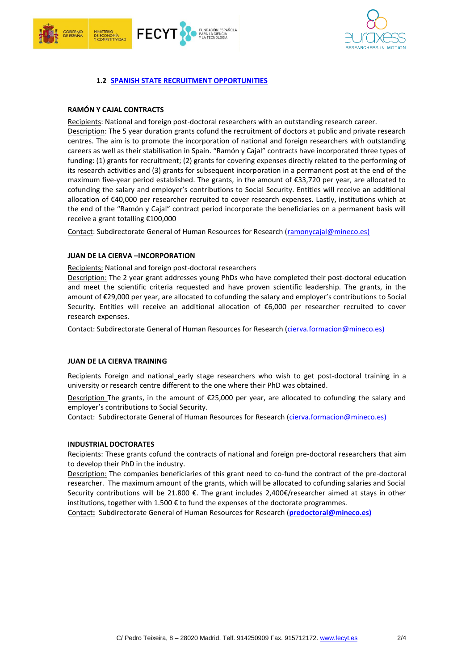



# **1.2 [SPANISH STATE RECRUITMENT OPPORTUNITIES](http://www.idi.mineco.gob.es/stfls/MICINN/Investigacion/FICHEROS/Programa_Actuacion_Anual_PAA_2015.pdf)**

## **RAMÓN Y CAJAL CONTRACTS**

Recipients: National and foreign post-doctoral researchers with an outstanding research career.

Description: The 5 year duration grants cofund the recruitment of doctors at public and private research centres. The aim is to promote the incorporation of national and foreign researchers with outstanding careers as well as their stabilisation in Spain. "Ramón y Cajal" contracts have incorporated three types of funding: (1) grants for recruitment; (2) grants for covering expenses directly related to the performing of its research activities and (3) grants for subsequent incorporation in a permanent post at the end of the maximum five-year period established. The grants, in the amount of €33,720 per year, are allocated to cofunding the salary and employer's contributions to Social Security. Entities will receive an additional allocation of €40,000 per researcher recruited to cover research expenses. Lastly, institutions which at the end of the "Ramón y Cajal" contract period incorporate the beneficiaries on a permanent basis will receive a grant totalling €100,000

Contact: Subdirectorate General of Human Resources for Research [\(ramonycajal@mineco.es\)](mailto:ramonycajal@mineco.es)

## **JUAN DE LA CIERVA –INCORPORATION**

Recipients: National and foreign post-doctoral researchers

Description: The 2 year grant addresses young PhDs who have completed their post-doctoral education and meet the scientific criteria requested and have proven scientific leadership. The grants, in the amount of €29,000 per year, are allocated to cofunding the salary and employer's contributions to Social Security. Entities will receive an additional allocation of €6,000 per researcher recruited to cover research expenses.

Contact: Subdirectorate General of Human Resources for Research [\(cierva.formacion@mineco.es\)](mailto:cierva.formacion@mineco.es)

## **JUAN DE LA CIERVA TRAINING**

Recipients Foreign and national\_early stage researchers who wish to get post-doctoral training in a university or research centre different to the one where their PhD was obtained.

Description The grants, in the amount of €25,000 per year, are allocated to cofunding the salary and employer's contributions to Social Security.

Contact: Subdirectorate General of Human Resources for Research [\(cierva.formacion@mineco.es\)](mailto:cierva.formacion@mineco.es)

## **INDUSTRIAL DOCTORATES**

Recipients: These grants cofund the contracts of national and foreign pre-doctoral researchers that aim to develop their PhD in the industry.

Description: The companies beneficiaries of this grant need to co-fund the contract of the pre-doctoral researcher. The maximum amount of the grants, which will be allocated to cofunding salaries and Social Security contributions will be 21.800 €. The grant includes 2,400€/researcher aimed at stays in other institutions, together with 1.500  $\epsilon$  to fund the expenses of the doctorate programmes.

Contact**:** Subdirectorate General of Human Resources for Research (**[predoctoral@mineco.es\)](mailto:predoctoral@mineco.es)**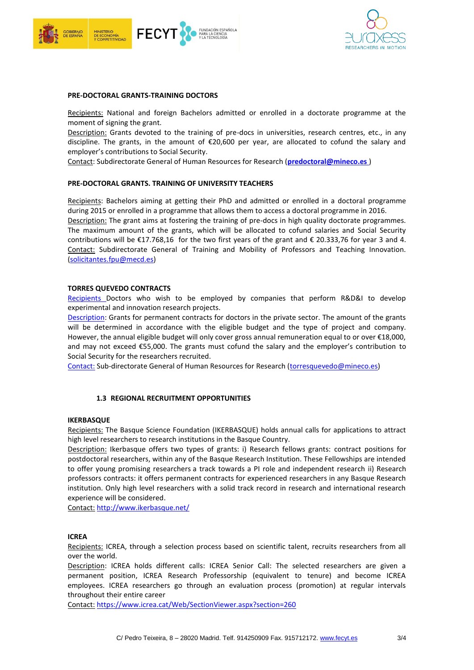



#### **PRE-DOCTORAL GRANTS-TRAINING DOCTORS**

Recipients: National and foreign Bachelors admitted or enrolled in a doctorate programme at the moment of signing the grant.

Description: Grants devoted to the training of pre-docs in universities, research centres, etc., in any discipline. The grants, in the amount of €20,600 per year, are allocated to cofund the salary and employer's contributions to Social Security.

Contact: Subdirectorate General of Human Resources for Research (**[predoctoral@mineco.es](mailto:predoctoral@mineco.es)** )

#### **PRE-DOCTORAL GRANTS. TRAINING OF UNIVERSITY TEACHERS**

Recipients: Bachelors aiming at getting their PhD and admitted or enrolled in a doctoral programme during 2015 or enrolled in a programme that allows them to access a doctoral programme in 2016.

Description: The grant aims at fostering the training of pre-docs in high quality doctorate programmes. The maximum amount of the grants, which will be allocated to cofund salaries and Social Security contributions will be  $£17.768,16$  for the two first years of the grant and  $£20.333,76$  for year 3 and 4. Contact: Subdirectorate General of Training and Mobility of Professors and Teaching Innovation. [\(solicitantes.fpu@mecd.es\)](mailto:solicitantes.fpu@mecd.es)

#### **TORRES QUEVEDO CONTRACTS**

Recipients Doctors who wish to be employed by companies that perform R&D&I to develop experimental and innovation research projects.

Description: Grants for permanent contracts for doctors in the private sector. The amount of the grants will be determined in accordance with the eligible budget and the type of project and company. However, the annual eligible budget will only cover gross annual remuneration equal to or over €18,000, and may not exceed €55,000. The grants must cofund the salary and the employer's contribution to Social Security for the researchers recruited.

Contact: Sub-directorate General of Human Resources for Research [\(torresquevedo@mineco.es\)](mailto:torresquevedo@mineco.es)

## **1.3 REGIONAL RECRUITMENT OPPORTUNITIES**

#### **IKERBASQUE**

Recipients: The Basque Science Foundation (IKERBASQUE) holds annual calls for applications to attract high level researchers to research institutions in the Basque Country.

Description: Ikerbasque offers two types of grants: i) Research fellows grants: contract positions for postdoctoral researchers, within any of the Basque Research Institution. These Fellowships are intended to offer young promising researchers a track towards a PI role and independent research ii) Research professors contracts: it offers permanent contracts for experienced researchers in any Basque Research institution. Only high level researchers with a solid track record in research and international research experience will be considered.

Contact: <http://www.ikerbasque.net/>

## **ICREA**

Recipients: ICREA, through a selection process based on scientific talent, recruits researchers from all over the world.

Description: ICREA holds different calls: ICREA Senior Call: The selected researchers are given a permanent position, ICREA Research Professorship (equivalent to tenure) and become ICREA employees. ICREA researchers go through an evaluation process (promotion) at regular intervals throughout their entire career

Contact: <https://www.icrea.cat/Web/SectionViewer.aspx?section=260>